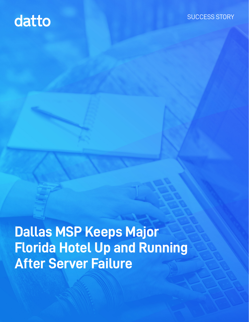# datto

### SUCCESS STORY

**Dallas MSP Keeps Major Florida Hotel Up and Running After Server Failure**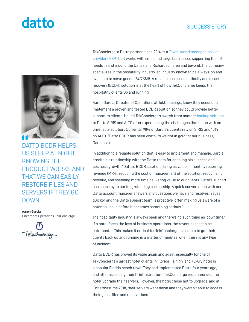## datto

### SUCCESS STORY



US SLEEP AT NIGHT KNOWING THE PRODUCT WORKS AND THAT WE CAN EASILY RESTORE FILES AND SERVERS IF THEY GO DOWN.

**Aaron Garcia** Director of Operations, TekConcierge



TekConcierge, a Datto partner since 2014, is a [Texas-based managed service](https://www.tekconcierge.com/)  [provider \(MSP\)](https://www.tekconcierge.com/) that works with small and large businesses supporting their IT needs in and around the Dallas and Richardson area and beyond. The company specializes in the hospitality industry, an industry known to be always-on and available to serve guests 24/7/365. A reliable business continuity and disaster recovery (BCDR) solution is at the heart of how TekConcierge keeps their hospitality clients up and running.

Aaron Garcia, Director of Operations at TekConcierge, knew they needed to implement a proven and tested BCDR solution so they could provide better support to clients. He led TekConcierge's switch from another [backup solution](https://www.tekconcierge.com/it-services/disaster-recovery/) to Datto SIRIS and ALTO after experiencing the challenges that come with an unreliable solution. Currently, 90% of Garcia's clients rely on SIRIS and 10% on ALTO. "Datto BCDR has been worth its weight in gold for our business," Garcia said.

In addition to a reliable solution that is easy to implement and manage, Garcia credits his relationship with the Datto team for enabling his success and business growth. "Datto's BCDR solutions bring us value in monthly recurring revenue (MRR), reducing the cost of management of the solution, recognizing revenue, and spending more time delivering value to our clients. Datto's support has been key to our long-standing partnership. A quick conversation with our Datto account manager answers any questions we have and resolves issues quickly, and the Datto support team is proactive, often making us aware of a potential issue before it becomes something serious."

The hospitality industry is always open and there's no such thing as 'downtime.' If a hotel faces the loss of business operations, the revenue lost can be detrimental. This makes it critical for TekConcierge to be able to get their clients back up and running in a matter of minutes when there is any type of incident.

Datto BCDR has proved its value again and again, especially for one of TekConcierge's largest hotel clients in Florida – a high-end, luxury hotel in a popular Florida beach town. They had implemented Datto four years ago, and after assessing their IT infrastructure, TekConcierge recommended the hotel upgrade their servers. However, the hotel chose not to upgrade, and at Christmastime 2018, their servers went down and they weren't able to access their guest files and reservations.